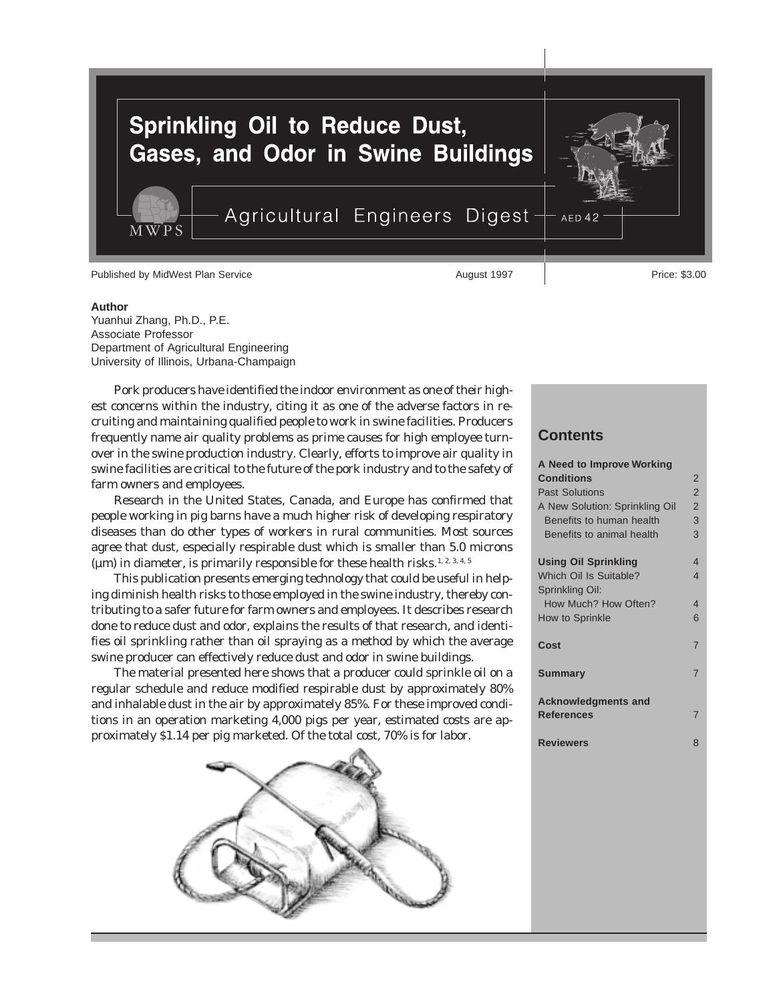

#### **Author**

Yuanhui Zhang, Ph.D., P.E. Associate Professor Department of Agricultural Engineering University of Illinois, Urbana-Champaign

Pork producers have identified the indoor environment as one of their highest concerns within the industry, citing it as one of the adverse factors in recruiting and maintaining qualified people to work in swine facilities. Producers frequently name air quality problems as prime causes for high employee turnover in the swine production industry. Clearly, efforts to improve air quality in swine facilities are critical to the future of the pork industry and to the safety of farm owners and employees.

Research in the United States, Canada, and Europe has confirmed that people working in pig barns have a much higher risk of developing respiratory diseases than do other types of workers in rural communities. Most sources agree that dust, especially respirable dust which is smaller than 5.0 microns ( $\mu$ m) in diameter, is primarily responsible for these health risks.<sup>1, 2, 3, 4, 5</sup>

This publication presents emerging technology that could be useful in helping diminish health risks to those employed in the swine industry, thereby contributing to a safer future for farm owners and employees. It describes research done to reduce dust and odor, explains the results of that research, and identifies oil sprinkling rather than oil spraying as a method by which the average swine producer can effectively reduce dust and odor in swine buildings.

The material presented here shows that a producer could sprinkle oil on a regular schedule and reduce modified respirable dust by approximately 80% and inhalable dust in the air by approximately 85%. For these improved conditions in an operation marketing 4,000 pigs per year, estimated costs are approximately \$1.14 per pig marketed. Of the total cost, 70% is for labor.



## **Contents**

| A Need to Improve Working      |                |
|--------------------------------|----------------|
| <b>Conditions</b>              | 2              |
| <b>Past Solutions</b>          | $\overline{2}$ |
| A New Solution: Sprinkling Oil | $\overline{2}$ |
| Benefits to human health       | 3              |
| Benefits to animal health      | 3              |
| <b>Using Oil Sprinkling</b>    | 4              |
| <b>Which Oil Is Suitable?</b>  | $\overline{4}$ |
| Sprinkling Oil:                |                |
| How Much? How Often?           | 4              |
| How to Sprinkle                | 6              |
| Cost                           | 7              |
|                                |                |
| <b>Summary</b>                 | 7              |
| <b>Acknowledgments and</b>     |                |
| <b>References</b>              | 7              |
| <b>Reviewers</b>               | 8              |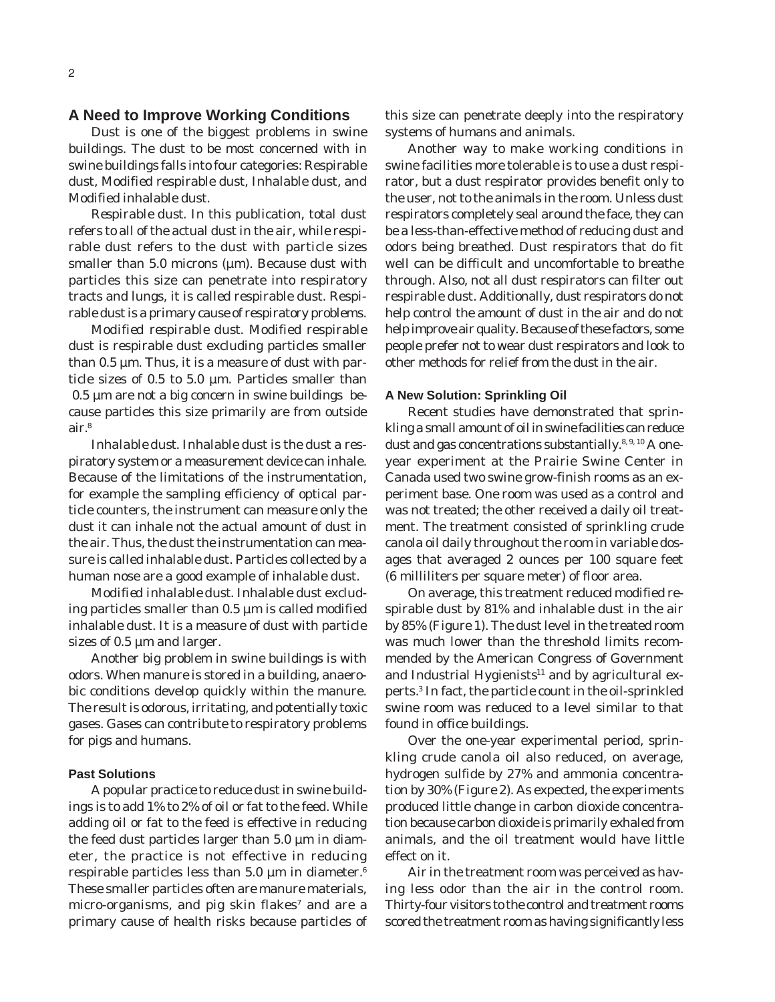# **A Need to Improve Working Conditions**

Dust is one of the biggest problems in swine buildings. The dust to be most concerned with in swine buildings falls into four categories: Respirable dust, Modified respirable dust, Inhalable dust, and Modified inhalable dust.

*Respirable dust.* In this publication, total dust refers to all of the actual dust in the air, while respirable dust refers to the dust with particle sizes smaller than 5.0 microns ( $\mu$ m). Because dust with particles this size can penetrate into respiratory tracts and lungs, it is called respirable dust. Respirable dust is a primary cause of respiratory problems.

*Modified respirable dust.* Modified respirable dust is respirable dust excluding particles smaller than  $0.5 \mu m$ . Thus, it is a measure of dust with particle sizes of 0.5 to 5.0 µm. Particles smaller than 0.5 µm are not a big concern in swine buildings because particles this size primarily are from outside air.8

*Inhalable dust.* Inhalable dust is the dust a respiratory system or a measurement device can inhale. Because of the limitations of the instrumentation, for example the sampling efficiency of optical particle counters, the instrument can measure only the dust it can inhale not the actual amount of dust in the air. Thus, the dust the instrumentation can measure is called inhalable dust. Particles collected by a human nose are a good example of inhalable dust.

*Modified inhalable dust.* Inhalable dust excluding particles smaller than 0.5 µm is called modified inhalable dust. It is a measure of dust with particle sizes of 0.5  $\mu$ m and larger.

Another big problem in swine buildings is with odors. When manure is stored in a building, anaerobic conditions develop quickly within the manure. The result is odorous, irritating, and potentially toxic gases. Gases can contribute to respiratory problems for pigs and humans.

#### **Past Solutions**

A popular practice to reduce dust in swine buildings is to add 1% to 2% of oil or fat to the feed. While adding oil or fat to the feed is effective in reducing the feed dust particles larger than  $5.0 \mu m$  in diameter, the practice is not effective in reducing respirable particles less than 5.0  $\mu$ m in diameter.<sup>6</sup> These smaller particles often are manure materials, micro-organisms, and pig skin flakes $<sup>7</sup>$  and are a</sup> primary cause of health risks because particles of

this size can penetrate deeply into the respiratory systems of humans and animals.

Another way to make working conditions in swine facilities more tolerable is to use a dust respirator, but a dust respirator provides benefit only to the user, not to the animals in the room. Unless dust respirators completely seal around the face, they can be a less-than-effective method of reducing dust and odors being breathed. Dust respirators that do fit well can be difficult and uncomfortable to breathe through. Also, not all dust respirators can filter out respirable dust. Additionally, dust respirators do not help control the amount of dust in the air and do not help improve air quality. Because of these factors, some people prefer not to wear dust respirators and look to other methods for relief from the dust in the air.

### **A New Solution: Sprinkling Oil**

Recent studies have demonstrated that sprinkling a small amount of oil in swine facilities can reduce dust and gas concentrations substantially.<sup>8, 9, 10</sup> A oneyear experiment at the Prairie Swine Center in Canada used two swine grow-finish rooms as an experiment base. One room was used as a control and was not treated; the other received a daily oil treatment. The treatment consisted of sprinkling crude canola oil daily throughout the room in variable dosages that averaged 2 ounces per 100 square feet (6 milliliters per square meter) of floor area.

On average, this treatment reduced modified respirable dust by 81% and inhalable dust in the air by 85% (Figure 1). The dust level in the treated room was much lower than the threshold limits recommended by the American Congress of Government and Industrial Hygienists $11$  and by agricultural experts.3 In fact, the particle count in the oil-sprinkled swine room was reduced to a level similar to that found in office buildings.

Over the one-year experimental period, sprinkling crude canola oil also reduced, on average, hydrogen sulfide by 27% and ammonia concentration by 30% (Figure 2). As expected, the experiments produced little change in carbon dioxide concentration because carbon dioxide is primarily exhaled from animals, and the oil treatment would have little effect on it.

Air in the treatment room was perceived as having less odor than the air in the control room. Thirty-four visitors to the control and treatment rooms scored the treatment room as having significantly less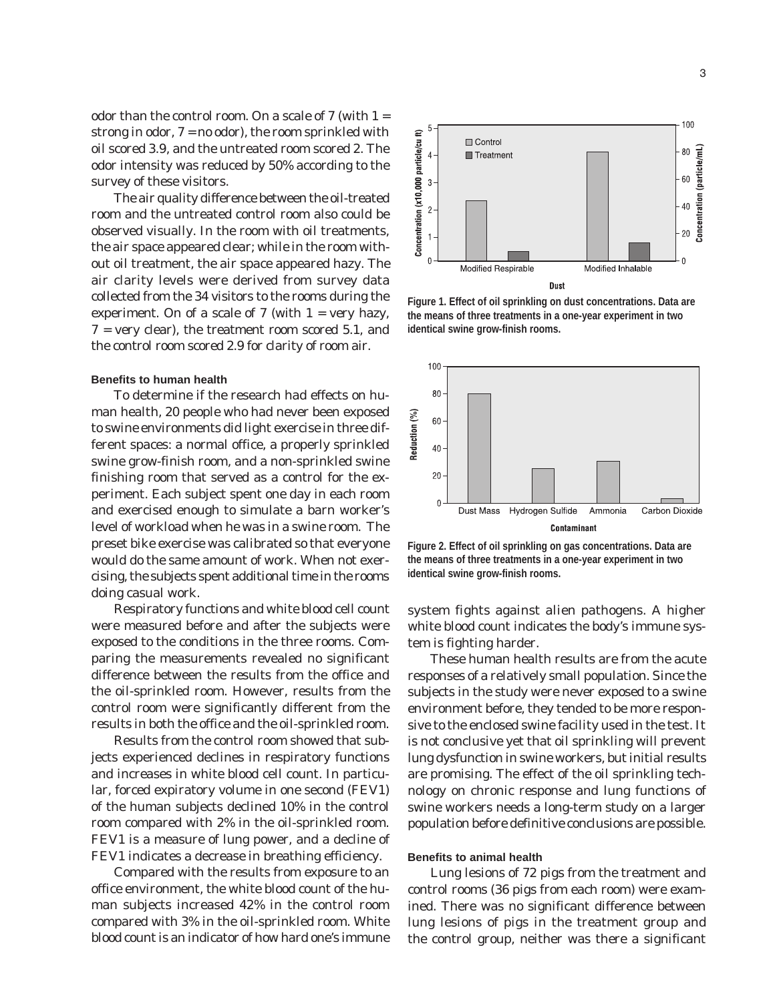odor than the control room. On a scale of  $7$  (with  $1 =$ strong in odor, 7 = no odor), the room sprinkled with oil scored 3.9, and the untreated room scored 2. The odor intensity was reduced by 50% according to the survey of these visitors.

The air quality difference between the oil-treated room and the untreated control room also could be observed visually. In the room with oil treatments, the air space appeared clear; while in the room without oil treatment, the air space appeared hazy. The air clarity levels were derived from survey data collected from the 34 visitors to the rooms during the experiment. On of a scale of 7 (with  $1 = \text{very heavy}$ , 7 = very clear), the treatment room scored 5.1, and the control room scored 2.9 for clarity of room air.

#### **Benefits to human health**

To determine if the research had effects on human health, 20 people who had never been exposed to swine environments did light exercise in three different spaces: a normal office, a properly sprinkled swine grow-finish room, and a non-sprinkled swine finishing room that served as a control for the experiment. Each subject spent one day in each room and exercised enough to simulate a barn worker's level of workload when he was in a swine room. The preset bike exercise was calibrated so that everyone would do the same amount of work. When not exercising, the subjects spent additional time in the rooms doing casual work.

Respiratory functions and white blood cell count were measured before and after the subjects were exposed to the conditions in the three rooms. Comparing the measurements revealed no significant difference between the results from the office and the oil-sprinkled room. However, results from the control room were significantly different from the results in both the office and the oil-sprinkled room.

Results from the control room showed that subjects experienced declines in respiratory functions and increases in white blood cell count. In particular, forced expiratory volume in one second (FEV1) of the human subjects declined 10% in the control room compared with 2% in the oil-sprinkled room. FEV1 is a measure of lung power, and a decline of FEV1 indicates a decrease in breathing efficiency.

Compared with the results from exposure to an office environment, the white blood count of the human subjects increased 42% in the control room compared with 3% in the oil-sprinkled room. White blood count is an indicator of how hard one's immune



**Figure 1. Effect of oil sprinkling on dust concentrations. Data are the means of three treatments in a one-year experiment in two identical swine grow-finish rooms.**



**Figure 2. Effect of oil sprinkling on gas concentrations. Data are the means of three treatments in a one-year experiment in two identical swine grow-finish rooms.**

system fights against alien pathogens. A higher white blood count indicates the body's immune system is fighting harder.

These human health results are from the acute responses of a relatively small population. Since the subjects in the study were never exposed to a swine environment before, they tended to be more responsive to the enclosed swine facility used in the test. It is not conclusive yet that oil sprinkling will prevent lung dysfunction in swine workers, but initial results are promising. The effect of the oil sprinkling technology on chronic response and lung functions of swine workers needs a long-term study on a larger population before definitive conclusions are possible.

#### **Benefits to animal health**

Lung lesions of 72 pigs from the treatment and control rooms (36 pigs from each room) were examined. There was no significant difference between lung lesions of pigs in the treatment group and the control group, neither was there a significant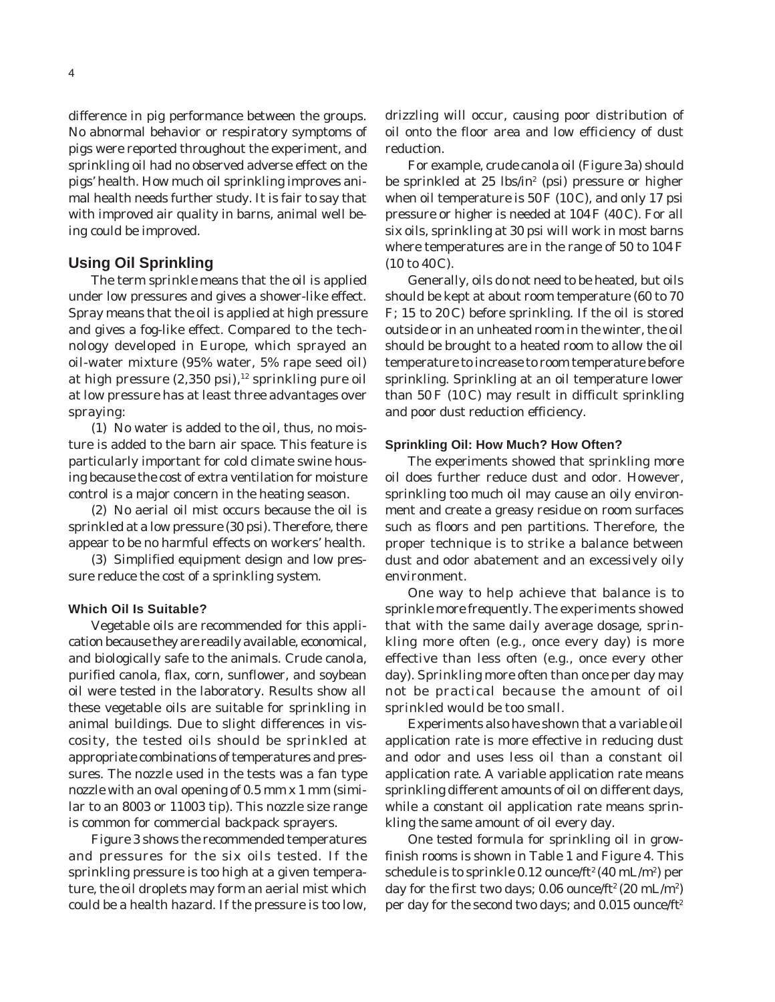difference in pig performance between the groups. No abnormal behavior or respiratory symptoms of pigs were reported throughout the experiment, and sprinkling oil had no observed adverse effect on the pigs' health. How much oil sprinkling improves animal health needs further study. It is fair to say that with improved air quality in barns, animal well being could be improved.

## **Using Oil Sprinkling**

The term *sprinkle* means that the oil is applied under low pressures and gives a shower-like effect. S*pray* means that the oil is applied at high pressure and gives a fog-like effect. Compared to the technology developed in Europe, which sprayed an oil-water mixture (95% water, 5% rape seed oil) at high pressure  $(2,350 \text{ psi})$ ,<sup>12</sup> sprinkling pure oil at low pressure has at least three advantages over spraying:

(1) No water is added to the oil, thus, no moisture is added to the barn air space. This feature is particularly important for cold climate swine housing because the cost of extra ventilation for moisture control is a major concern in the heating season.

(2) No aerial oil mist occurs because the oil is sprinkled at a low pressure (30 psi). Therefore, there appear to be no harmful effects on workers' health.

(3) Simplified equipment design and low pressure reduce the cost of a sprinkling system.

### **Which Oil Is Suitable?**

Vegetable oils are recommended for this application because they are readily available, economical, and biologically safe to the animals. Crude canola, purified canola, flax, corn, sunflower, and soybean oil were tested in the laboratory. Results show all these vegetable oils are suitable for sprinkling in animal buildings. Due to slight differences in viscosity, the tested oils should be sprinkled at appropriate combinations of temperatures and pressures. The nozzle used in the tests was a fan type nozzle with an oval opening of 0.5 mm x 1 mm (similar to an 8003 or 11003 tip). This nozzle size range is common for commercial backpack sprayers.

Figure 3 shows the recommended temperatures and pressures for the six oils tested. If the sprinkling pressure is too high at a given temperature, the oil droplets may form an aerial mist which could be a health hazard. If the pressure is too low,

drizzling will occur, causing poor distribution of oil onto the floor area and low efficiency of dust reduction.

For example, crude canola oil (Figure 3a) should be sprinkled at 25 lbs/in<sup>2</sup> (psi) pressure or higher when oil temperature is 50 F (10 C), and only 17 psi pressure or higher is needed at 104F (40 C). For all six oils, sprinkling at 30 psi will work in most barns where temperatures are in the range of 50 to 104F (10 to 40C).

Generally, oils do not need to be heated, but oils should be kept at about room temperature (60 to 70 F; 15 to 20 C) before sprinkling. If the oil is stored outside or in an unheated room in the winter, the oil should be brought to a heated room to allow the oil temperature to increase to room temperature before sprinkling. Sprinkling at an oil temperature lower than  $50 F (10 C)$  may result in difficult sprinkling and poor dust reduction efficiency.

### **Sprinkling Oil: How Much? How Often?**

The experiments showed that sprinkling more oil does further reduce dust and odor. However, sprinkling too much oil may cause an oily environment and create a greasy residue on room surfaces such as floors and pen partitions. Therefore, the proper technique is to strike a balance between dust and odor abatement and an excessively oily environment.

One way to help achieve that balance is to sprinkle more frequently. The experiments showed that with the same daily average dosage, sprinkling more often (e.g., once every day) is more effective than less often (e.g., once every other day). Sprinkling more often than once per day may not be practical because the amount of oil sprinkled would be too small.

Experiments also have shown that a variable oil application rate is more effective in reducing dust and odor and uses less oil than a constant oil application rate. A variable application rate means sprinkling different amounts of oil on different days, while a constant oil application rate means sprinkling the same amount of oil every day.

One tested formula for sprinkling oil in growfinish rooms is shown in Table 1 and Figure 4. This schedule is to sprinkle 0.12 ounce/ft² (40 mL/m²) per day for the first two days;  $0.06$  ounce/ft<sup>2</sup> (20 mL/m<sup>2</sup>) per day for the second two days; and 0.015 ounce/ft<sup>2</sup>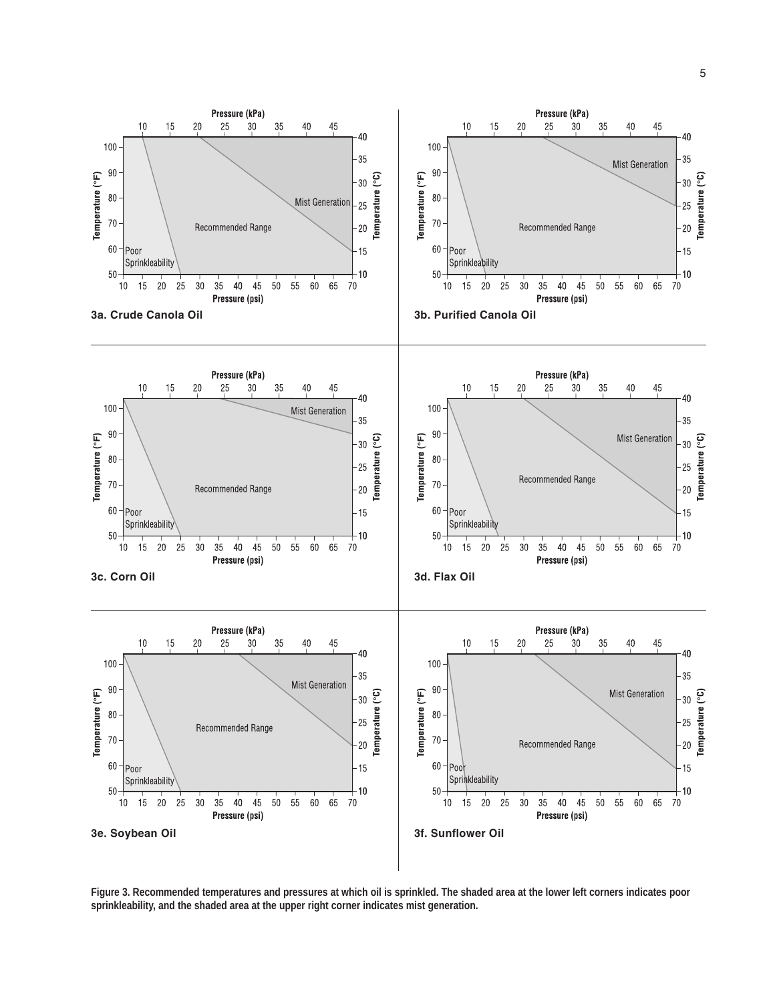

**Figure 3. Recommended temperatures and pressures at which oil is sprinkled. The shaded area at the lower left corners indicates poor sprinkleability, and the shaded area at the upper right corner indicates mist generation.**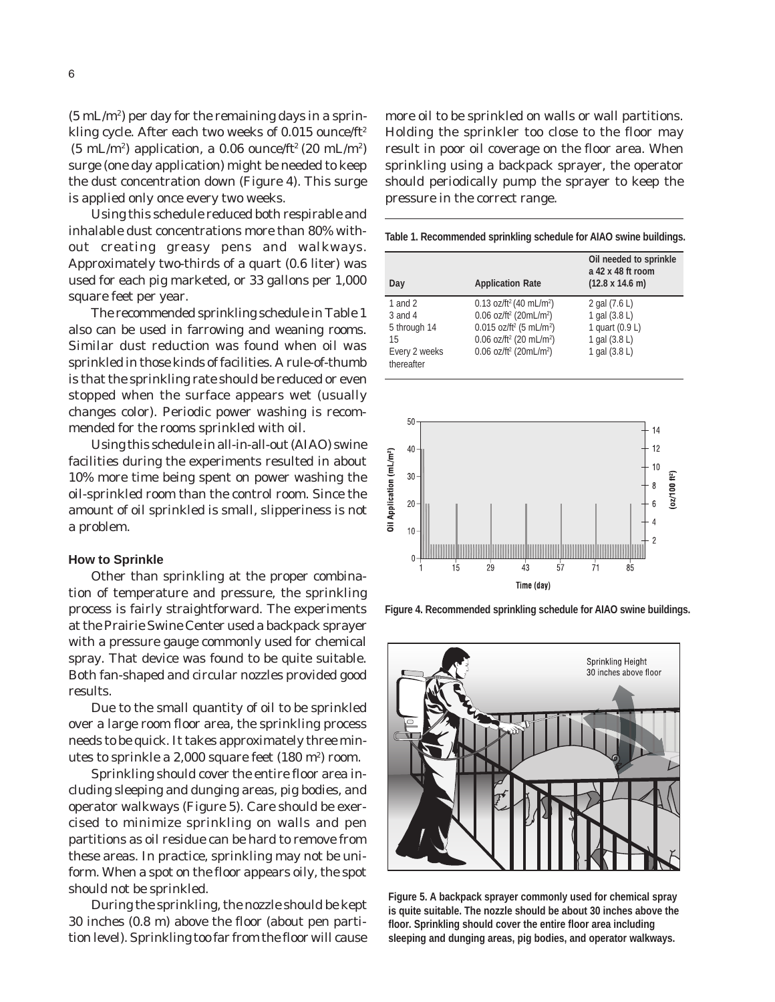$(5 \text{ mL/m}^2)$  per day for the remaining days in a sprinkling cycle. After each two weeks of 0.015 ounce/ft<sup>2</sup>  $(5 \text{ mL/m}^2)$  application, a 0.06 ounce/ft<sup>2</sup> (20 mL/m<sup>2</sup>) surge (one day application) might be needed to keep the dust concentration down (Figure 4). This surge is applied only once every two weeks.

Using this schedule reduced both respirable and inhalable dust concentrations more than 80% without creating greasy pens and walkways. Approximately two-thirds of a quart (0.6 liter) was used for each pig marketed, or 33 gallons per 1,000 square feet per year.

The recommended sprinkling schedule in Table 1 also can be used in farrowing and weaning rooms. Similar dust reduction was found when oil was sprinkled in those kinds of facilities. A rule-of-thumb is that the sprinkling rate should be reduced or even stopped when the surface appears wet (usually changes color). Periodic power washing is recommended for the rooms sprinkled with oil.

Using this schedule in all-in-all-out (AIAO) swine facilities during the experiments resulted in about 10% more time being spent on power washing the oil-sprinkled room than the control room. Since the amount of oil sprinkled is small, slipperiness is not a problem.

#### **How to Sprinkle**

Other than sprinkling at the proper combination of temperature and pressure, the sprinkling process is fairly straightforward. The experiments at the Prairie Swine Center used a backpack sprayer with a pressure gauge commonly used for chemical spray. That device was found to be quite suitable. Both fan-shaped and circular nozzles provided good results.

Due to the small quantity of oil to be sprinkled over a large room floor area, the sprinkling process needs to be quick. It takes approximately three minutes to sprinkle a  $2,000$  square feet  $(180 \text{ m}^2)$  room.

Sprinkling should cover the entire floor area including sleeping and dunging areas, pig bodies, and operator walkways (Figure 5). Care should be exercised to minimize sprinkling on walls and pen partitions as oil residue can be hard to remove from these areas. In practice, sprinkling may not be uniform. When a spot on the floor appears oily, the spot should not be sprinkled.

During the sprinkling, the nozzle should be kept 30 inches (0.8 m) above the floor (about pen partition level). Sprinkling too far from the floor will cause

more oil to be sprinkled on walls or wall partitions. Holding the sprinkler too close to the floor may result in poor oil coverage on the floor area. When sprinkling using a backpack sprayer, the operator should periodically pump the sprayer to keep the pressure in the correct range.

**Table 1. Recommended sprinkling schedule for AIAO swine buildings.**

| Day                         | <b>Application Rate</b>                           | Oil needed to sprinkle<br>a 42 x 48 ft room<br>$(12.8 \times 14.6 \text{ m})$ |
|-----------------------------|---------------------------------------------------|-------------------------------------------------------------------------------|
| 1 and $2$                   | 0.13 oz/ft <sup>2</sup> (40 mL/m <sup>2</sup> )   | 2 gal (7.6 L)                                                                 |
| $3$ and $4$                 | $0.06$ oz/ft <sup>2</sup> (20mL/m <sup>2</sup> )  | 1 gal (3.8 L)                                                                 |
| 5 through 14                | $0.015$ oz/ft <sup>2</sup> (5 mL/m <sup>2</sup> ) | 1 quart (0.9 L)                                                               |
| 15                          | 0.06 oz/ft <sup>2</sup> (20 mL/m <sup>2</sup> )   | 1 gal (3.8 L)                                                                 |
| Every 2 weeks<br>thereafter | $0.06$ oz/ft <sup>2</sup> (20mL/m <sup>2</sup> )  | 1 gal (3.8 L)                                                                 |



**Figure 4. Recommended sprinkling schedule for AIAO swine buildings.**



**Figure 5. A backpack sprayer commonly used for chemical spray is quite suitable. The nozzle should be about 30 inches above the floor. Sprinkling should cover the entire floor area including sleeping and dunging areas, pig bodies, and operator walkways.**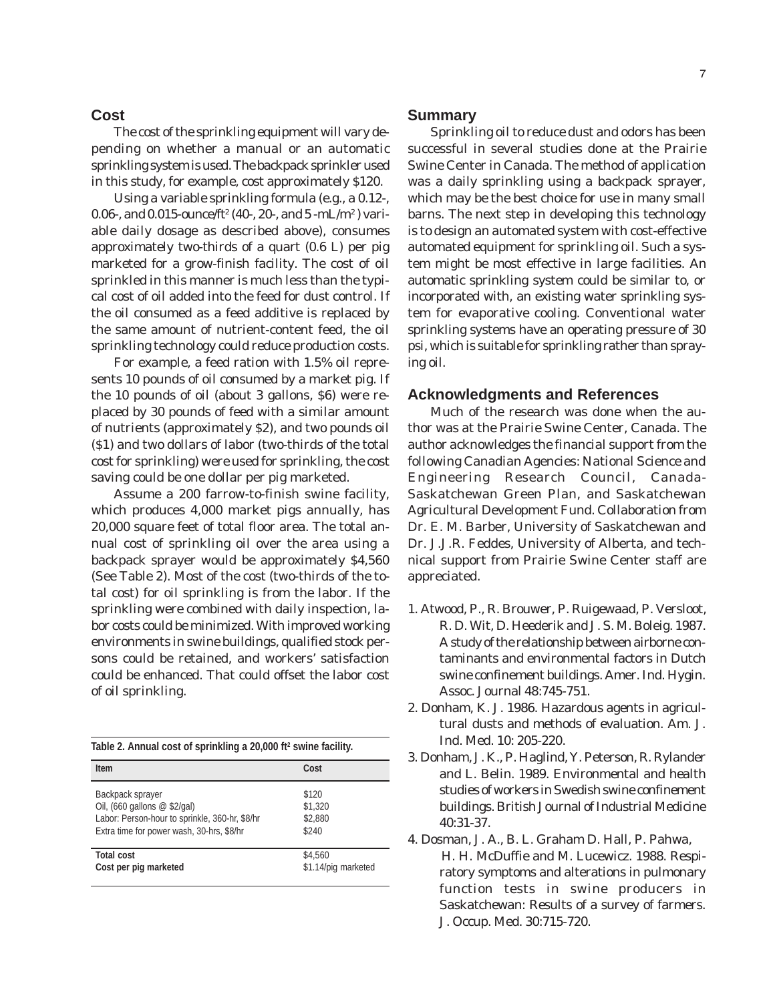# **Cost**

The cost of the sprinkling equipment will vary depending on whether a manual or an automatic sprinkling system is used. The backpack sprinkler used in this study, for example, cost approximately \$120.

Using a variable sprinkling formula (e.g., a 0.12-, 0.06-, and 0.015-ounce/ft² (40-, 20-, and 5 -mL/m²) variable daily dosage as described above), consumes approximately two-thirds of a quart (0.6 L) per pig marketed for a grow-finish facility. The cost of oil sprinkled in this manner is much less than the typical cost of oil added into the feed for dust control. If the oil consumed as a feed additive is replaced by the same amount of nutrient-content feed, the oil sprinkling technology could reduce production costs.

For example, a feed ration with 1.5% oil represents 10 pounds of oil consumed by a market pig. If the 10 pounds of oil (about 3 gallons, \$6) were replaced by 30 pounds of feed with a similar amount of nutrients (approximately \$2), and two pounds oil (\$1) and two dollars of labor (two-thirds of the total cost for sprinkling) were used for sprinkling, the cost saving could be one dollar per pig marketed.

Assume a 200 farrow-to-finish swine facility, which produces 4,000 market pigs annually, has 20,000 square feet of total floor area. The total annual cost of sprinkling oil over the area using a backpack sprayer would be approximately \$4,560 (See Table 2). Most of the cost (two-thirds of the total cost) for oil sprinkling is from the labor. If the sprinkling were combined with daily inspection, labor costs could be minimized. With improved working environments in swine buildings, qualified stock persons could be retained, and workers' satisfaction could be enhanced. That could offset the labor cost of oil sprinkling.

| Table 2. Annual cost of sprinkling a 20,000 ft <sup>2</sup> swine facility. |                     |  |  |
|-----------------------------------------------------------------------------|---------------------|--|--|
| <b>Item</b>                                                                 | Cost                |  |  |
| Backpack sprayer                                                            | \$120               |  |  |
| Oil, (660 gallons $@$ \$2/gal)                                              | \$1,320             |  |  |
| Labor: Person-hour to sprinkle, 360-hr, \$8/hr                              | \$2,880             |  |  |
| Extra time for power wash, 30-hrs, \$8/hr                                   | \$240               |  |  |
| <b>Total cost</b>                                                           | \$4,560             |  |  |
| Cost per pig marketed                                                       | \$1.14/pig marketed |  |  |

## **Summary**

Sprinkling oil to reduce dust and odors has been successful in several studies done at the Prairie Swine Center in Canada. The method of application was a daily sprinkling using a backpack sprayer, which may be the best choice for use in many small barns. The next step in developing this technology is to design an automated system with cost-effective automated equipment for sprinkling oil. Such a system might be most effective in large facilities. An automatic sprinkling system could be similar to, or incorporated with, an existing water sprinkling system for evaporative cooling. Conventional water sprinkling systems have an operating pressure of 30 psi, which is suitable for sprinkling rather than spraying oil.

#### **Acknowledgments and References**

Much of the research was done when the author was at the Prairie Swine Center, Canada. The author acknowledges the financial support from the following Canadian Agencies: National Science and Engineering Research Council, Canada-Saskatchewan Green Plan, and Saskatchewan Agricultural Development Fund. Collaboration from Dr. E. M. Barber, University of Saskatchewan and Dr. J.J.R. Feddes, University of Alberta, and technical support from Prairie Swine Center staff are appreciated.

- 1. Atwood, P., R. Brouwer, P. Ruigewaad, P. Versloot, R. D. Wit, D. Heederik and J. S. M. Boleig. 1987. A study of the relationship between airborne contaminants and environmental factors in Dutch swine confinement buildings. Amer. Ind. Hygin. Assoc. Journal 48:745-751.
- 2. Donham, K. J. 1986. Hazardous agents in agricultural dusts and methods of evaluation. Am. J. Ind. Med. 10: 205-220.
- 3. Donham, J. K., P. Haglind, Y. Peterson, R. Rylander and L. Belin. 1989. Environmental and health studies of workers in Swedish swine confinement buildings. British Journal of Industrial Medicine 40:31-37.
- 4. Dosman, J. A., B. L. Graham D. Hall, P. Pahwa, H. H. McDuffie and M. Lucewicz. 1988. Respiratory symptoms and alterations in pulmonary function tests in swine producers in Saskatchewan: Results of a survey of farmers. J. Occup. Med. 30:715-720.